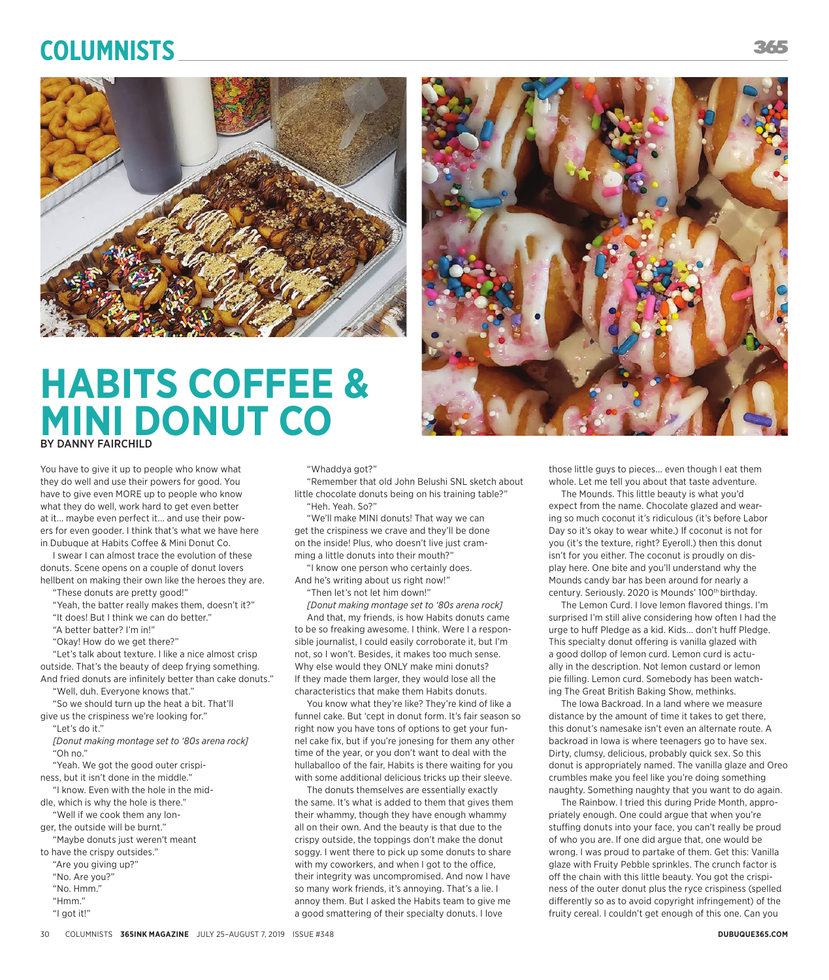## **Columnists**



## **HABITS COFFEE & MINI DONUT CO** BY DANNY FAIRCHILD

You have to give it up to people who know what they do well and use their powers for good. You have to give even MORE up to people who know what they do well, work hard to get even better at it... maybe even perfect it... and use their powers for even gooder. I think that's what we have here in Dubuque at Habits Coffee & Mini Donut Co.

I swear I can almost trace the evolution of these donuts. Scene opens on a couple of donut lovers hellbent on making their own like the heroes they are.

"These donuts are pretty good!"

"Yeah, the batter really makes them, doesn't it?" "It does! But I think we can do better."

"A better batter? I'm in!"

"Okay! How do we get there?"

"Let's talk about texture. I like a nice almost crisp

outside. That's the beauty of deep frying something. And fried donuts are infinitely better than cake donuts."

"Well, duh. Everyone knows that." "So we should turn up the heat a bit. That'll

give us the crispiness we're looking for." "Let's do it."

*[Donut making montage set to '80s arena rock]* "Oh no."

"Yeah. We got the good outer crispiness, but it isn't done in the middle."

"I know. Even with the hole in the middle, which is why the hole is there."

"Well if we cook them any longer, the outside will be burnt."

"Maybe donuts just weren't meant

- to have the crispy outsides."
	- "Are you giving up?" "No. Are you?"
	- "No. Hmm."
	- "Hmm."
	- "I got it!"

"Whaddya got?"

"Remember that old John Belushi SNL sketch about little chocolate donuts being on his training table?" "Heh. Yeah. So?"

"We'll make MINI donuts! That way we can get the crispiness we crave and they'll be done on the inside! Plus, who doesn't live just cramming a little donuts into their mouth?"

"I know one person who certainly does. And he's writing about us right now!"

"Then let's not let him down!"

*[Donut making montage set to '80s arena rock]* And that, my friends, is how Habits donuts came to be so freaking awesome. I think. Were I a responsible journalist, I could easily corroborate it, but I'm not, so I won't. Besides, it makes too much sense. Why else would they ONLY make mini donuts? If they made them larger, they would lose all the characteristics that make them Habits donuts.

You know what they're like? They're kind of like a funnel cake. But 'cept in donut form. It's fair season so right now you have tons of options to get your funnel cake fix, but if you're jonesing for them any other time of the year, or you don't want to deal with the hullaballoo of the fair, Habits is there waiting for you with some additional delicious tricks up their sleeve.

The donuts themselves are essentially exactly the same. It's what is added to them that gives them their whammy, though they have enough whammy all on their own. And the beauty is that due to the crispy outside, the toppings don't make the donut soggy. I went there to pick up some donuts to share with my coworkers, and when I got to the office, their integrity was uncompromised. And now I have so many work friends, it's annoying. That's a lie. I annoy them. But I asked the Habits team to give me a good smattering of their specialty donuts. I love



those little guys to pieces... even though I eat them whole. Let me tell you about that taste adventure.

The Mounds. This little beauty is what you'd expect from the name. Chocolate glazed and wearing so much coconut it's ridiculous (it's before Labor Day so it's okay to wear white.) If coconut is not for you (it's the texture, right? Eyeroll.) then this donut isn't for you either. The coconut is proudly on display here. One bite and you'll understand why the Mounds candy bar has been around for nearly a century. Seriously. 2020 is Mounds' 100<sup>th</sup> birthday.

The Lemon Curd. I love lemon flavored things. I'm surprised I'm still alive considering how often I had the urge to huff Pledge as a kid. Kids... don't huff Pledge. This specialty donut offering is vanilla glazed with a good dollop of lemon curd. Lemon curd is actually in the description. Not lemon custard or lemon pie filling. Lemon curd. Somebody has been watching The Great British Baking Show, methinks.

The Iowa Backroad. In a land where we measure distance by the amount of time it takes to get there, this donut's namesake isn't even an alternate route. A backroad in Iowa is where teenagers go to have sex. Dirty, clumsy, delicious, probably quick sex. So this donut is appropriately named. The vanilla glaze and Oreo crumbles make you feel like you're doing something naughty. Something naughty that you want to do again.

The Rainbow. I tried this during Pride Month, appropriately enough. One could argue that when you're stuffing donuts into your face, you can't really be proud of who you are. If one did argue that, one would be wrong. I was proud to partake of them. Get this: Vanilla glaze with Fruity Pebble sprinkles. The crunch factor is off the chain with this little beauty. You got the crispiness of the outer donut plus the ryce crispiness (spelled differently so as to avoid copyright infringement) of the fruity cereal. I couldn't get enough of this one. Can you